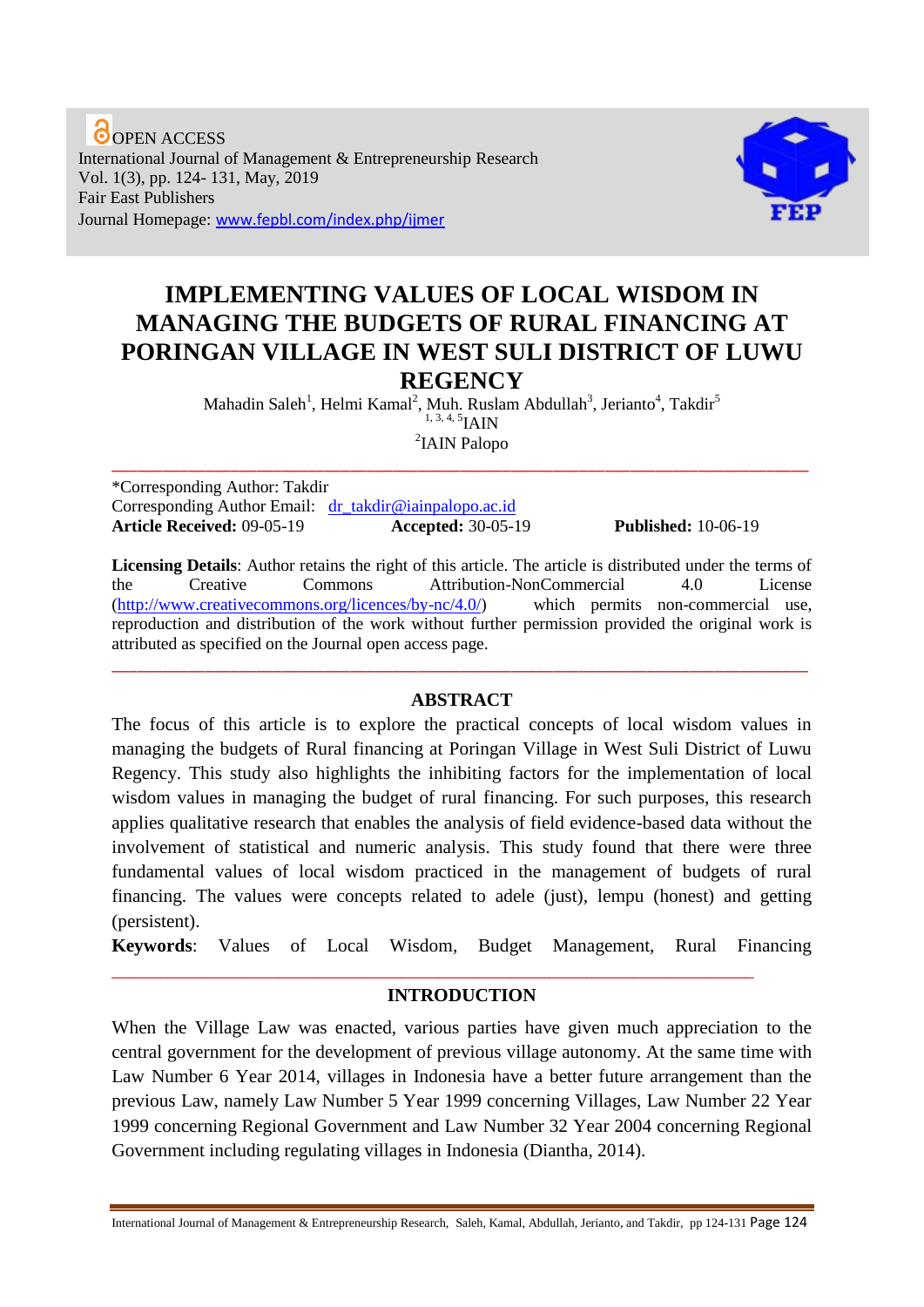**O** OPEN ACCESS International Journal of Management & Entrepreneurship Research Vol. 1(3), pp. 124- 131, May, 2019 Fair East Publishers Journal Homepage: www.fepbl.com/index.php/ijmer



# **IMPLEMENTING VALUES OF LOCAL WISDOM IN MANAGING THE BUDGETS OF RURAL FINANCING AT PORINGAN VILLAGE IN WEST SULI DISTRICT OF LUWU REGENCY**

Mahadin Saleh<sup>1</sup>, Helmi Kamal<sup>2</sup>, Muh. Ruslam Abdullah<sup>3</sup>, Jerianto<sup>4</sup>, Takdir<sup>5</sup>  $1, 3, 4, 5$ IAIN 2 IAIN Palopo

\_\_\_\_\_\_\_\_\_\_\_\_\_\_\_\_\_\_\_\_\_\_\_\_\_\_\_\_\_\_\_\_\_\_\_\_\_\_\_\_\_\_\_\_\_\_\_\_\_\_\_\_\_\_\_\_\_\_\_\_\_\_\_\_\_\_\_\_\_\_\_\_\_\_\_\_\_\_\_\_\_\_

\*Corresponding Author: Takdir Corresponding Author Email: [dr\\_takdir@iainpalopo.ac.id](mailto:dr_takdir@iainpalopo.ac.id) **Article Received:** 09-05-19 **Accepted:** 30-05-19 **Published:** 10-06-19

**Licensing Details**: Author retains the right of this article. The article is distributed under the terms of the Creative Commons Attribution-NonCommercial 4.0 License [\(http://www.creativecommons.org/licences/by-nc/4.0/\)](http://www.creativecommons.org/licences/by-nc/4.0/) which permits non-commercial use, reproduction and distribution of the work without further permission provided the original work is attributed as specified on the Journal open access page.

#### **ABSTRACT**

\_\_\_\_\_\_\_\_\_\_\_\_\_\_\_\_\_\_\_\_\_\_\_\_\_\_\_\_\_\_\_\_\_\_\_\_\_\_\_\_\_\_\_\_\_\_\_\_\_\_\_\_\_\_\_\_\_\_\_\_\_\_\_\_\_\_\_\_\_\_\_\_\_\_\_\_\_\_\_\_\_\_

The focus of this article is to explore the practical concepts of local wisdom values in managing the budgets of Rural financing at Poringan Village in West Suli District of Luwu Regency. This study also highlights the inhibiting factors for the implementation of local wisdom values in managing the budget of rural financing. For such purposes, this research applies qualitative research that enables the analysis of field evidence-based data without the involvement of statistical and numeric analysis. This study found that there were three fundamental values of local wisdom practiced in the management of budgets of rural financing. The values were concepts related to adele (just), lempu (honest) and getting (persistent).

**Keywords**: Values of Local Wisdom, Budget Management, Rural Financing

#### **INTRODUCTION**

\_\_\_\_\_\_\_\_\_\_\_\_\_\_\_\_\_\_\_\_\_\_\_\_\_\_\_\_\_\_\_\_\_\_\_\_\_\_\_\_\_\_\_\_\_\_\_\_\_\_\_\_\_\_\_\_\_\_\_\_\_\_\_\_\_\_\_\_\_

When the Village Law was enacted, various parties have given much appreciation to the central government for the development of previous village autonomy. At the same time with Law Number 6 Year 2014, villages in Indonesia have a better future arrangement than the previous Law, namely Law Number 5 Year 1999 concerning Villages, Law Number 22 Year 1999 concerning Regional Government and Law Number 32 Year 2004 concerning Regional Government including regulating villages in Indonesia (Diantha, 2014).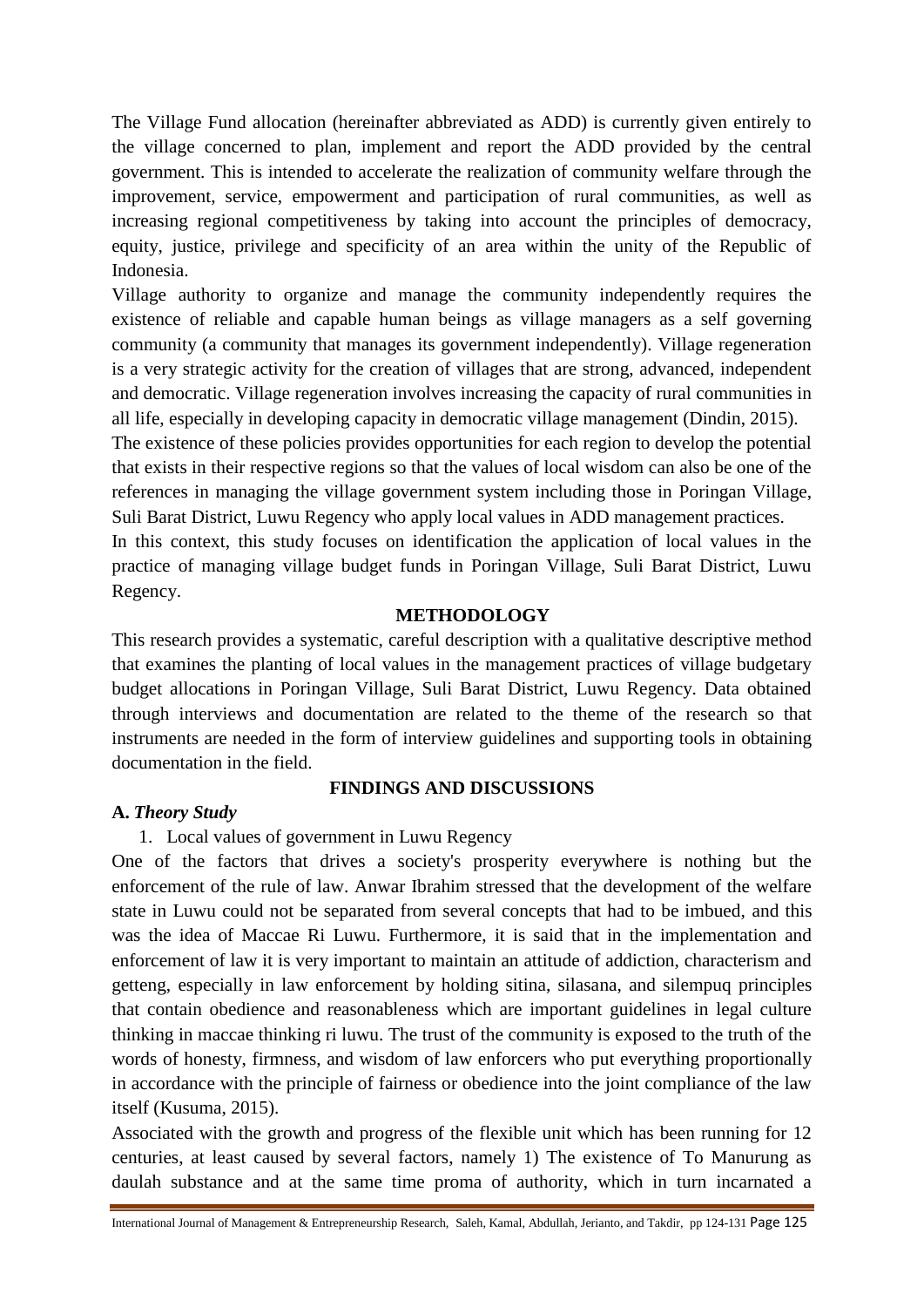The Village Fund allocation (hereinafter abbreviated as ADD) is currently given entirely to the village concerned to plan, implement and report the ADD provided by the central government. This is intended to accelerate the realization of community welfare through the improvement, service, empowerment and participation of rural communities, as well as increasing regional competitiveness by taking into account the principles of democracy, equity, justice, privilege and specificity of an area within the unity of the Republic of Indonesia.

Village authority to organize and manage the community independently requires the existence of reliable and capable human beings as village managers as a self governing community (a community that manages its government independently). Village regeneration is a very strategic activity for the creation of villages that are strong, advanced, independent and democratic. Village regeneration involves increasing the capacity of rural communities in all life, especially in developing capacity in democratic village management (Dindin, 2015).

The existence of these policies provides opportunities for each region to develop the potential that exists in their respective regions so that the values of local wisdom can also be one of the references in managing the village government system including those in Poringan Village, Suli Barat District, Luwu Regency who apply local values in ADD management practices.

In this context, this study focuses on identification the application of local values in the practice of managing village budget funds in Poringan Village, Suli Barat District, Luwu Regency.

#### **METHODOLOGY**

This research provides a systematic, careful description with a qualitative descriptive method that examines the planting of local values in the management practices of village budgetary budget allocations in Poringan Village, Suli Barat District, Luwu Regency. Data obtained through interviews and documentation are related to the theme of the research so that instruments are needed in the form of interview guidelines and supporting tools in obtaining documentation in the field.

#### **FINDINGS AND DISCUSSIONS**

#### **A.** *Theory Study*

1. Local values of government in Luwu Regency

One of the factors that drives a society's prosperity everywhere is nothing but the enforcement of the rule of law. Anwar Ibrahim stressed that the development of the welfare state in Luwu could not be separated from several concepts that had to be imbued, and this was the idea of Maccae Ri Luwu. Furthermore, it is said that in the implementation and enforcement of law it is very important to maintain an attitude of addiction, characterism and getteng, especially in law enforcement by holding sitina, silasana, and silempuq principles that contain obedience and reasonableness which are important guidelines in legal culture thinking in maccae thinking ri luwu. The trust of the community is exposed to the truth of the words of honesty, firmness, and wisdom of law enforcers who put everything proportionally in accordance with the principle of fairness or obedience into the joint compliance of the law itself (Kusuma, 2015).

Associated with the growth and progress of the flexible unit which has been running for 12 centuries, at least caused by several factors, namely 1) The existence of To Manurung as daulah substance and at the same time proma of authority, which in turn incarnated a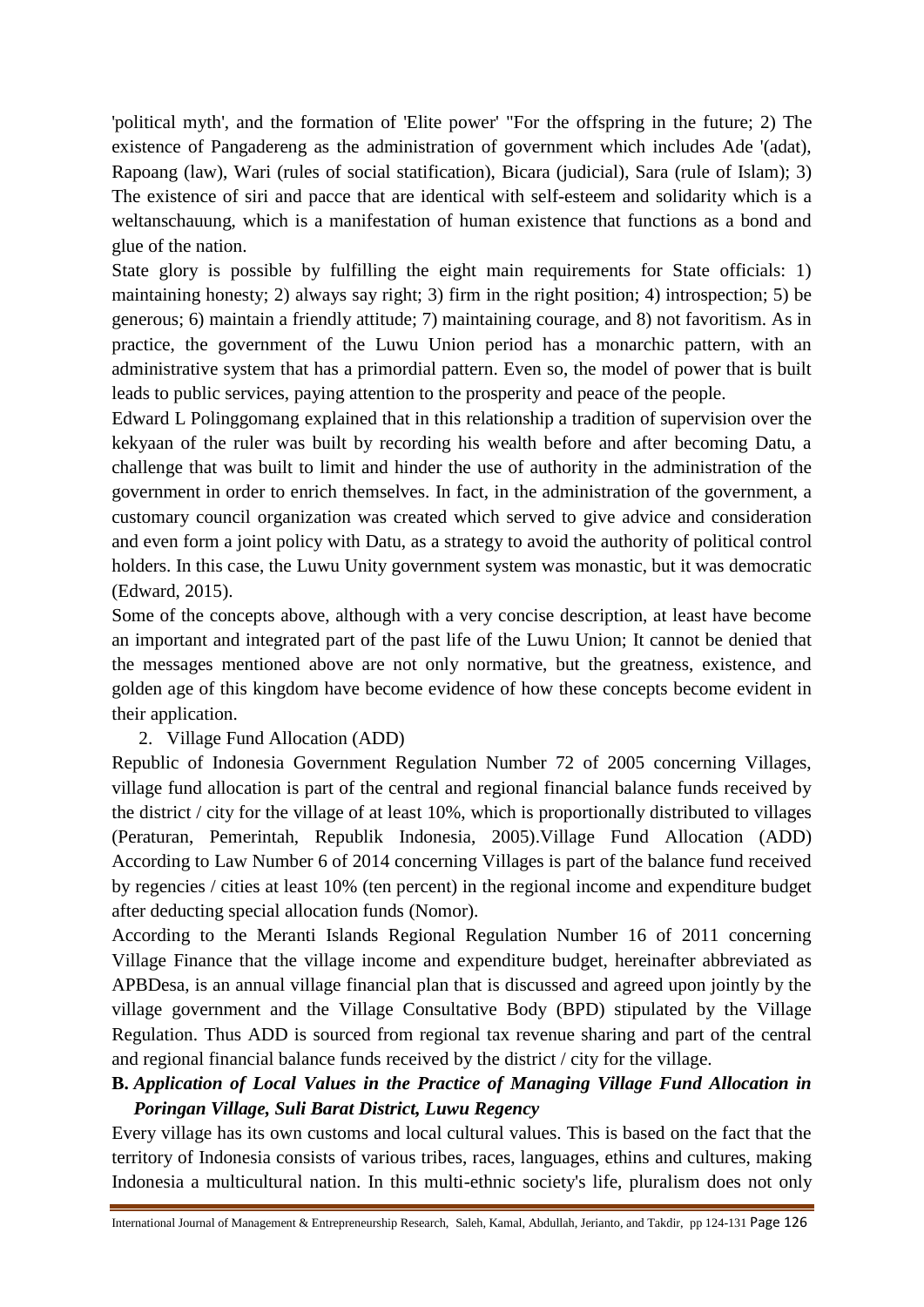'political myth', and the formation of 'Elite power' "For the offspring in the future; 2) The existence of Pangadereng as the administration of government which includes Ade '(adat), Rapoang (law), Wari (rules of social statification), Bicara (judicial), Sara (rule of Islam); 3) The existence of siri and pacce that are identical with self-esteem and solidarity which is a weltanschauung, which is a manifestation of human existence that functions as a bond and glue of the nation.

State glory is possible by fulfilling the eight main requirements for State officials: 1) maintaining honesty; 2) always say right; 3) firm in the right position; 4) introspection; 5) be generous; 6) maintain a friendly attitude; 7) maintaining courage, and 8) not favoritism. As in practice, the government of the Luwu Union period has a monarchic pattern, with an administrative system that has a primordial pattern. Even so, the model of power that is built leads to public services, paying attention to the prosperity and peace of the people.

Edward L Polinggomang explained that in this relationship a tradition of supervision over the kekyaan of the ruler was built by recording his wealth before and after becoming Datu, a challenge that was built to limit and hinder the use of authority in the administration of the government in order to enrich themselves. In fact, in the administration of the government, a customary council organization was created which served to give advice and consideration and even form a joint policy with Datu, as a strategy to avoid the authority of political control holders. In this case, the Luwu Unity government system was monastic, but it was democratic (Edward, 2015).

Some of the concepts above, although with a very concise description, at least have become an important and integrated part of the past life of the Luwu Union; It cannot be denied that the messages mentioned above are not only normative, but the greatness, existence, and golden age of this kingdom have become evidence of how these concepts become evident in their application.

2. Village Fund Allocation (ADD)

Republic of Indonesia Government Regulation Number 72 of 2005 concerning Villages, village fund allocation is part of the central and regional financial balance funds received by the district / city for the village of at least 10%, which is proportionally distributed to villages (Peraturan, Pemerintah, Republik Indonesia, 2005).Village Fund Allocation (ADD) According to Law Number 6 of 2014 concerning Villages is part of the balance fund received by regencies / cities at least 10% (ten percent) in the regional income and expenditure budget after deducting special allocation funds (Nomor).

According to the Meranti Islands Regional Regulation Number 16 of 2011 concerning Village Finance that the village income and expenditure budget, hereinafter abbreviated as APBDesa, is an annual village financial plan that is discussed and agreed upon jointly by the village government and the Village Consultative Body (BPD) stipulated by the Village Regulation. Thus ADD is sourced from regional tax revenue sharing and part of the central and regional financial balance funds received by the district / city for the village.

# **B.** *Application of Local Values in the Practice of Managing Village Fund Allocation in Poringan Village, Suli Barat District, Luwu Regency*

Every village has its own customs and local cultural values. This is based on the fact that the territory of Indonesia consists of various tribes, races, languages, ethins and cultures, making Indonesia a multicultural nation. In this multi-ethnic society's life, pluralism does not only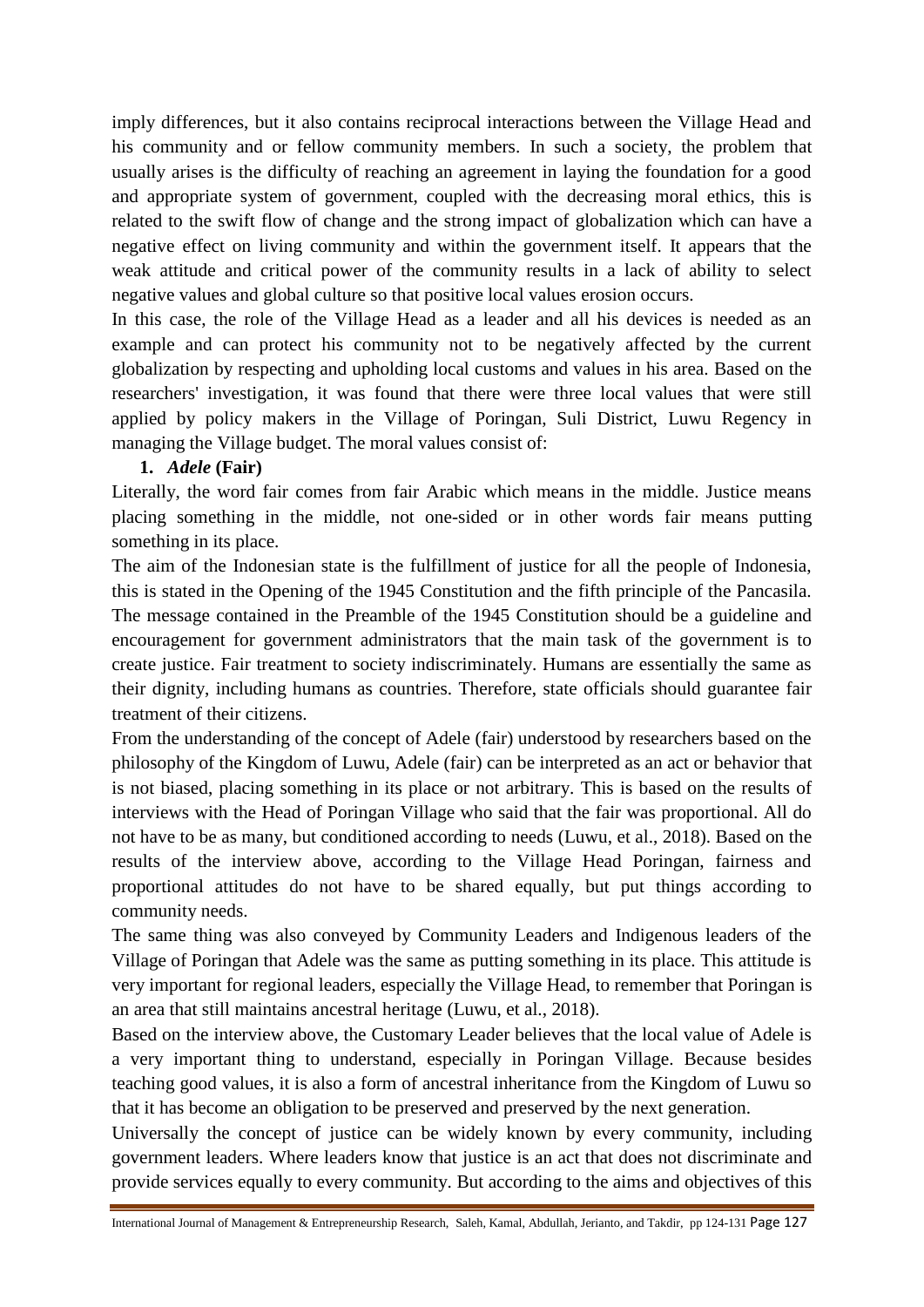imply differences, but it also contains reciprocal interactions between the Village Head and his community and or fellow community members. In such a society, the problem that usually arises is the difficulty of reaching an agreement in laying the foundation for a good and appropriate system of government, coupled with the decreasing moral ethics, this is related to the swift flow of change and the strong impact of globalization which can have a negative effect on living community and within the government itself. It appears that the weak attitude and critical power of the community results in a lack of ability to select negative values and global culture so that positive local values erosion occurs.

In this case, the role of the Village Head as a leader and all his devices is needed as an example and can protect his community not to be negatively affected by the current globalization by respecting and upholding local customs and values in his area. Based on the researchers' investigation, it was found that there were three local values that were still applied by policy makers in the Village of Poringan, Suli District, Luwu Regency in managing the Village budget. The moral values consist of:

# **1.** *Adele* **(Fair)**

Literally, the word fair comes from fair Arabic which means in the middle. Justice means placing something in the middle, not one-sided or in other words fair means putting something in its place.

The aim of the Indonesian state is the fulfillment of justice for all the people of Indonesia, this is stated in the Opening of the 1945 Constitution and the fifth principle of the Pancasila. The message contained in the Preamble of the 1945 Constitution should be a guideline and encouragement for government administrators that the main task of the government is to create justice. Fair treatment to society indiscriminately. Humans are essentially the same as their dignity, including humans as countries. Therefore, state officials should guarantee fair treatment of their citizens.

From the understanding of the concept of Adele (fair) understood by researchers based on the philosophy of the Kingdom of Luwu, Adele (fair) can be interpreted as an act or behavior that is not biased, placing something in its place or not arbitrary. This is based on the results of interviews with the Head of Poringan Village who said that the fair was proportional. All do not have to be as many, but conditioned according to needs (Luwu, et al., 2018). Based on the results of the interview above, according to the Village Head Poringan, fairness and proportional attitudes do not have to be shared equally, but put things according to community needs.

The same thing was also conveyed by Community Leaders and Indigenous leaders of the Village of Poringan that Adele was the same as putting something in its place. This attitude is very important for regional leaders, especially the Village Head, to remember that Poringan is an area that still maintains ancestral heritage (Luwu, et al., 2018).

Based on the interview above, the Customary Leader believes that the local value of Adele is a very important thing to understand, especially in Poringan Village. Because besides teaching good values, it is also a form of ancestral inheritance from the Kingdom of Luwu so that it has become an obligation to be preserved and preserved by the next generation.

Universally the concept of justice can be widely known by every community, including government leaders. Where leaders know that justice is an act that does not discriminate and provide services equally to every community. But according to the aims and objectives of this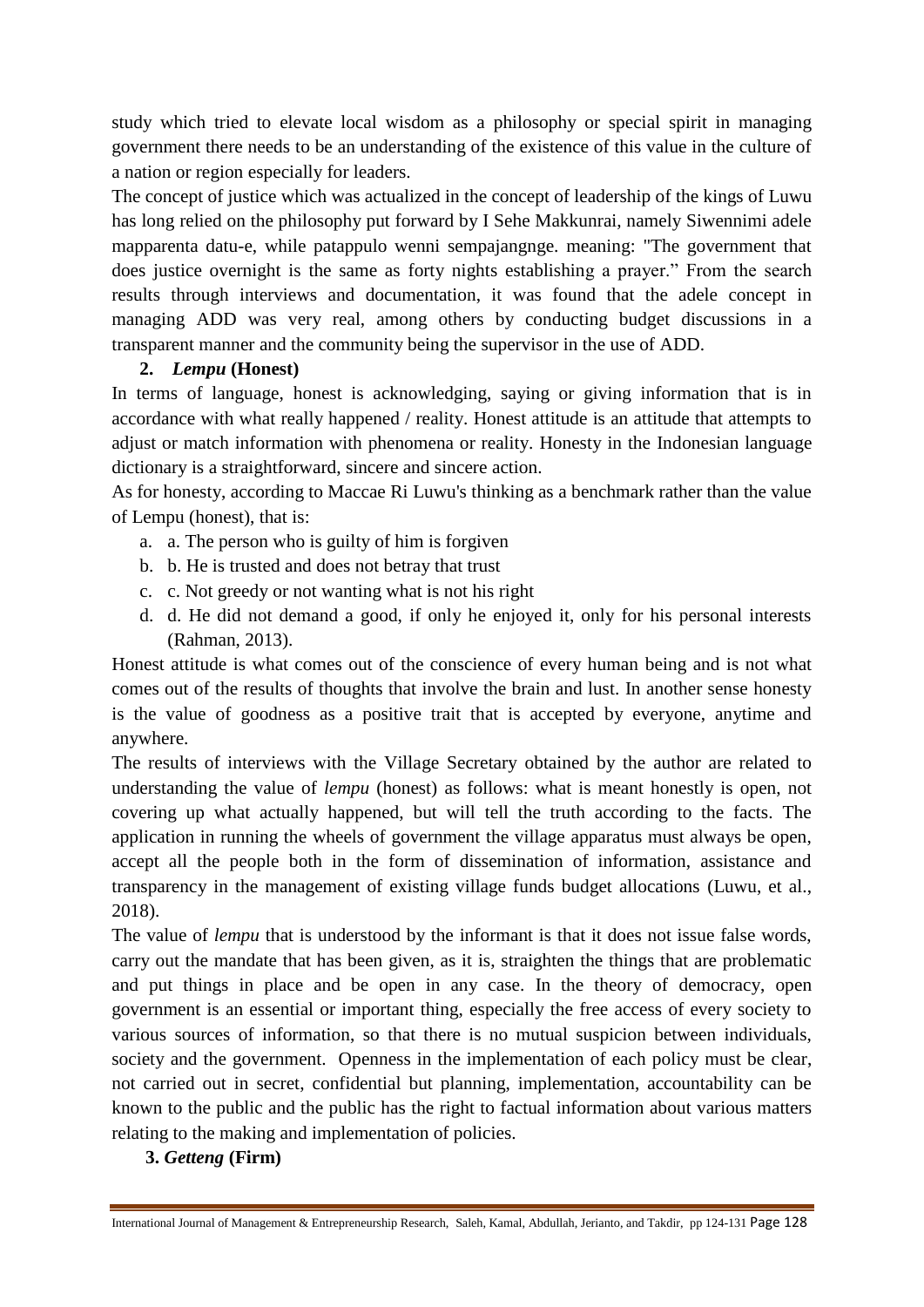study which tried to elevate local wisdom as a philosophy or special spirit in managing government there needs to be an understanding of the existence of this value in the culture of a nation or region especially for leaders.

The concept of justice which was actualized in the concept of leadership of the kings of Luwu has long relied on the philosophy put forward by I Sehe Makkunrai, namely Siwennimi adele mapparenta datu-e, while patappulo wenni sempajangnge. meaning: "The government that does justice overnight is the same as forty nights establishing a prayer." From the search results through interviews and documentation, it was found that the adele concept in managing ADD was very real, among others by conducting budget discussions in a transparent manner and the community being the supervisor in the use of ADD.

# **2.** *Lempu* **(Honest)**

In terms of language, honest is acknowledging, saying or giving information that is in accordance with what really happened / reality. Honest attitude is an attitude that attempts to adjust or match information with phenomena or reality. Honesty in the Indonesian language dictionary is a straightforward, sincere and sincere action.

As for honesty, according to Maccae Ri Luwu's thinking as a benchmark rather than the value of Lempu (honest), that is:

- a. a. The person who is guilty of him is forgiven
- b. b. He is trusted and does not betray that trust
- c. c. Not greedy or not wanting what is not his right
- d. d. He did not demand a good, if only he enjoyed it, only for his personal interests (Rahman, 2013).

Honest attitude is what comes out of the conscience of every human being and is not what comes out of the results of thoughts that involve the brain and lust. In another sense honesty is the value of goodness as a positive trait that is accepted by everyone, anytime and anywhere.

The results of interviews with the Village Secretary obtained by the author are related to understanding the value of *lempu* (honest) as follows: what is meant honestly is open, not covering up what actually happened, but will tell the truth according to the facts. The application in running the wheels of government the village apparatus must always be open, accept all the people both in the form of dissemination of information, assistance and transparency in the management of existing village funds budget allocations (Luwu, et al., 2018).

The value of *lempu* that is understood by the informant is that it does not issue false words, carry out the mandate that has been given, as it is, straighten the things that are problematic and put things in place and be open in any case. In the theory of democracy, open government is an essential or important thing, especially the free access of every society to various sources of information, so that there is no mutual suspicion between individuals, society and the government. Openness in the implementation of each policy must be clear, not carried out in secret, confidential but planning, implementation, accountability can be known to the public and the public has the right to factual information about various matters relating to the making and implementation of policies.

# **3.** *Getteng* **(Firm)**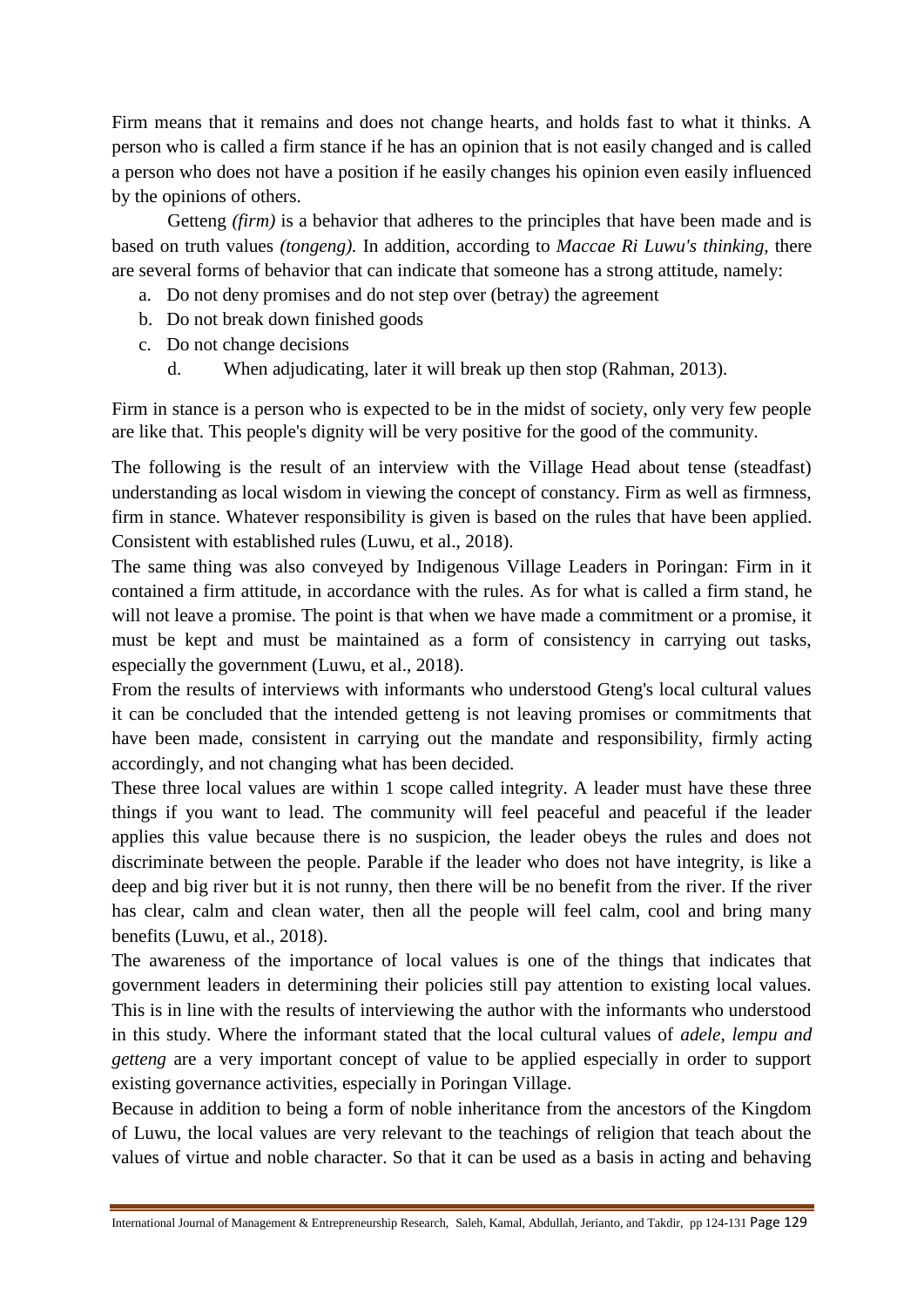Firm means that it remains and does not change hearts, and holds fast to what it thinks. A person who is called a firm stance if he has an opinion that is not easily changed and is called a person who does not have a position if he easily changes his opinion even easily influenced by the opinions of others.

Getteng *(firm)* is a behavior that adheres to the principles that have been made and is based on truth values *(tongeng).* In addition, according to *Maccae Ri Luwu's thinking,* there are several forms of behavior that can indicate that someone has a strong attitude, namely:

- a. Do not deny promises and do not step over (betray) the agreement
- b. Do not break down finished goods
- c. Do not change decisions
	- d. When adjudicating, later it will break up then stop (Rahman, 2013).

Firm in stance is a person who is expected to be in the midst of society, only very few people are like that. This people's dignity will be very positive for the good of the community.

The following is the result of an interview with the Village Head about tense (steadfast) understanding as local wisdom in viewing the concept of constancy. Firm as well as firmness, firm in stance. Whatever responsibility is given is based on the rules that have been applied. Consistent with established rules (Luwu, et al., 2018).

The same thing was also conveyed by Indigenous Village Leaders in Poringan: Firm in it contained a firm attitude, in accordance with the rules. As for what is called a firm stand, he will not leave a promise. The point is that when we have made a commitment or a promise, it must be kept and must be maintained as a form of consistency in carrying out tasks, especially the government (Luwu, et al., 2018).

From the results of interviews with informants who understood Gteng's local cultural values it can be concluded that the intended getteng is not leaving promises or commitments that have been made, consistent in carrying out the mandate and responsibility, firmly acting accordingly, and not changing what has been decided.

These three local values are within 1 scope called integrity. A leader must have these three things if you want to lead. The community will feel peaceful and peaceful if the leader applies this value because there is no suspicion, the leader obeys the rules and does not discriminate between the people. Parable if the leader who does not have integrity, is like a deep and big river but it is not runny, then there will be no benefit from the river. If the river has clear, calm and clean water, then all the people will feel calm, cool and bring many benefits (Luwu, et al., 2018).

The awareness of the importance of local values is one of the things that indicates that government leaders in determining their policies still pay attention to existing local values. This is in line with the results of interviewing the author with the informants who understood in this study. Where the informant stated that the local cultural values of *adele, lempu and getteng* are a very important concept of value to be applied especially in order to support existing governance activities, especially in Poringan Village.

Because in addition to being a form of noble inheritance from the ancestors of the Kingdom of Luwu, the local values are very relevant to the teachings of religion that teach about the values of virtue and noble character. So that it can be used as a basis in acting and behaving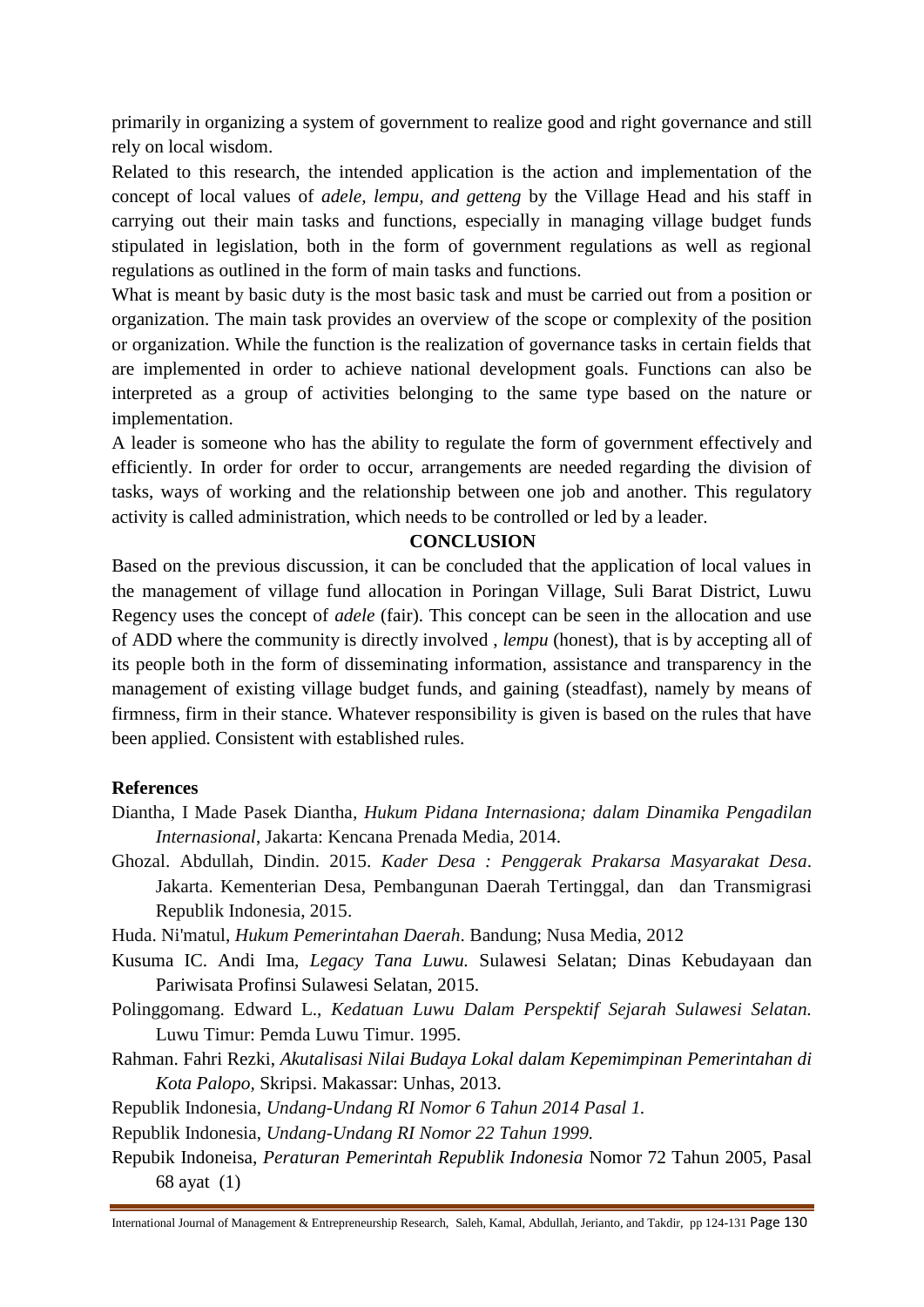primarily in organizing a system of government to realize good and right governance and still rely on local wisdom.

Related to this research, the intended application is the action and implementation of the concept of local values of *adele, lempu, and getteng* by the Village Head and his staff in carrying out their main tasks and functions, especially in managing village budget funds stipulated in legislation, both in the form of government regulations as well as regional regulations as outlined in the form of main tasks and functions.

What is meant by basic duty is the most basic task and must be carried out from a position or organization. The main task provides an overview of the scope or complexity of the position or organization. While the function is the realization of governance tasks in certain fields that are implemented in order to achieve national development goals. Functions can also be interpreted as a group of activities belonging to the same type based on the nature or implementation.

A leader is someone who has the ability to regulate the form of government effectively and efficiently. In order for order to occur, arrangements are needed regarding the division of tasks, ways of working and the relationship between one job and another. This regulatory activity is called administration, which needs to be controlled or led by a leader.

### **CONCLUSION**

Based on the previous discussion, it can be concluded that the application of local values in the management of village fund allocation in Poringan Village, Suli Barat District, Luwu Regency uses the concept of *adele* (fair). This concept can be seen in the allocation and use of ADD where the community is directly involved , *lempu* (honest), that is by accepting all of its people both in the form of disseminating information, assistance and transparency in the management of existing village budget funds, and gaining (steadfast), namely by means of firmness, firm in their stance. Whatever responsibility is given is based on the rules that have been applied. Consistent with established rules.

#### **References**

- Diantha, I Made Pasek Diantha*, Hukum Pidana Internasiona; dalam Dinamika Pengadilan Internasional*, Jakarta: Kencana Prenada Media, 2014.
- Ghozal. Abdullah, Dindin. 2015. *Kader Desa : Penggerak Prakarsa Masyarakat Desa*. Jakarta. Kementerian Desa, Pembangunan Daerah Tertinggal, dan dan Transmigrasi Republik Indonesia, 2015.

Huda. Ni'matul, *Hukum Pemerintahan Daerah*. Bandung; Nusa Media, 2012

- Kusuma IC. Andi Ima, *Legacy Tana Luwu.* Sulawesi Selatan; Dinas Kebudayaan dan Pariwisata Profinsi Sulawesi Selatan, 2015.
- Polinggomang. Edward L., *Kedatuan Luwu Dalam Perspektif Sejarah Sulawesi Selatan.*  Luwu Timur: Pemda Luwu Timur. 1995.
- Rahman. Fahri Rezki, *Akutalisasi Nilai Budaya Lokal dalam Kepemimpinan Pemerintahan di Kota Palopo,* Skripsi. Makassar: Unhas, 2013.
- Republik Indonesia, *Undang-Undang RI Nomor 6 Tahun 2014 Pasal 1.*

Republik Indonesia, *Undang-Undang RI Nomor 22 Tahun 1999.*

Repubik Indoneisa, *Peraturan Pemerintah Republik Indonesia* Nomor 72 Tahun 2005, Pasal 68 ayat (1)

International Journal of Management & Entrepreneurship Research, Saleh, Kamal, Abdullah, Jerianto, and Takdir, pp 124-131 Page 130